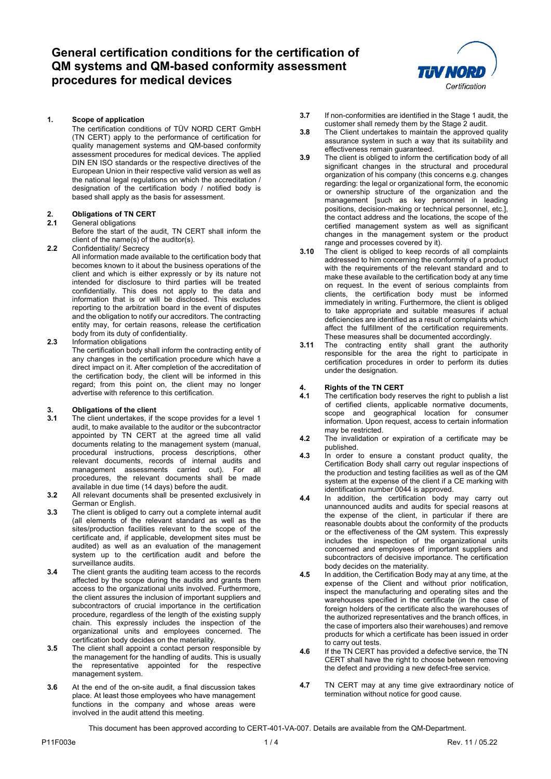

**1. Scope of application**

The certification conditions of TÜV NORD CERT GmbH (TN CERT) apply to the performance of certification for quality management systems and QM-based conformity assessment procedures for medical devices. The applied DIN EN ISO standards or the respective directives of the European Union in their respective valid version as well as the national legal regulations on which the accreditation / designation of the certification body / notified body is based shall apply as the basis for assessment.

# **2. Obligations of TN CERT**

### **2.1** General obligations

Before the start of the audit, TN CERT shall inform the client of the name(s) of the auditor(s).

**2.2** Confidentiality/ Secrecy

All information made available to the certification body that becomes known to it about the business operations of the client and which is either expressly or by its nature not intended for disclosure to third parties will be treated confidentially. This does not apply to the data and information that is or will be disclosed. This excludes reporting to the arbitration board in the event of disputes and the obligation to notify our accreditors. The contracting entity may, for certain reasons, release the certification body from its duty of confidentiality.

**2.3** Information obligations

The certification body shall inform the contracting entity of any changes in the certification procedure which have a direct impact on it. After completion of the accreditation of the certification body, the client will be informed in this regard; from this point on, the client may no longer advertise with reference to this certification.

# **3. Obligations of the client**

- **3.1** The client undertakes, if the scope provides for a level 1 audit, to make available to the auditor or the subcontractor appointed by TN CERT at the agreed time all valid documents relating to the management system (manual, procedural instructions, process descriptions, other relevant documents, records of internal audits and management assessments carried out). For all procedures, the relevant documents shall be made available in due time (14 days) before the audit.
- **3.2** All relevant documents shall be presented exclusively in German or English.
- **3.3** The client is obliged to carry out a complete internal audit (all elements of the relevant standard as well as the sites/production facilities relevant to the scope of the certificate and, if applicable, development sites must be audited) as well as an evaluation of the management system up to the certification audit and before the surveillance audits.
- **3.4** The client grants the auditing team access to the records affected by the scope during the audits and grants them access to the organizational units involved. Furthermore, the client assures the inclusion of important suppliers and subcontractors of crucial importance in the certification procedure, regardless of the length of the existing supply chain. This expressly includes the inspection of the organizational units and employees concerned. The certification body decides on the materiality.
- **3.5** The client shall appoint a contact person responsible by the management for the handling of audits. This is usually the representative appointed for the respective management system.
- **3.6** At the end of the on-site audit, a final discussion takes place. At least those employees who have management functions in the company and whose areas were involved in the audit attend this meeting.
- **3.7** If non-conformities are identified in the Stage 1 audit, the customer shall remedy them by the Stage 2 audit.
- **3.8** The Client undertakes to maintain the approved quality assurance system in such a way that its suitability and effectiveness remain guaranteed.
- **3.9** The client is obliged to inform the certification body of all significant changes in the structural and procedural organization of his company (this concerns e.g. changes regarding: the legal or organizational form, the economic or ownership structure of the organization and the management [such as key personnel in leading positions, decision-making or technical personnel, etc.], the contact address and the locations, the scope of the certified management system as well as significant changes in the management system or the product range and processes covered by it).
- **3.10** The client is obliged to keep records of all complaints addressed to him concerning the conformity of a product with the requirements of the relevant standard and to make these available to the certification body at any time on request. In the event of serious complaints from clients, the certification body must be informed immediately in writing. Furthermore, the client is obliged to take appropriate and suitable measures if actual deficiencies are identified as a result of complaints which affect the fulfillment of the certification requirements. These measures shall be documented accordingly.
- **3.11** The contracting entity shall grant the authority responsible for the area the right to participate in certification procedures in order to perform its duties under the designation.

# **4. Rights of the TN CERT**

- **4.1** The certification body reserves the right to publish a list of certified clients, applicable normative documents, scope and geographical location for consumer information. Upon request, access to certain information may be restricted.
- **4.2** The invalidation or expiration of a certificate may be published.
- **4.3** In order to ensure a constant product quality, the Certification Body shall carry out regular inspections of the production and testing facilities as well as of the QM system at the expense of the client if a CE marking with identification number 0044 is approved.
- **4.4** In addition, the certification body may carry out unannounced audits and audits for special reasons at the expense of the client, in particular if there are reasonable doubts about the conformity of the products or the effectiveness of the QM system. This expressly includes the inspection of the organizational units concerned and employees of important suppliers and subcontractors of decisive importance. The certification body decides on the materiality.
- **4.5** In addition, the Certification Body may at any time, at the expense of the Client and without prior notification, inspect the manufacturing and operating sites and the warehouses specified in the certificate (in the case of foreign holders of the certificate also the warehouses of the authorized representatives and the branch offices, in the case of importers also their warehouses) and remove products for which a certificate has been issued in order to carry out tests.
- **4.6** If the TN CERT has provided a defective service, the TN CERT shall have the right to choose between removing the defect and providing a new defect-free service.
- **4.7** TN CERT may at any time give extraordinary notice of termination without notice for good cause.

This document has been approved according to CERT-401-VA-007. Details are available from the QM-Department.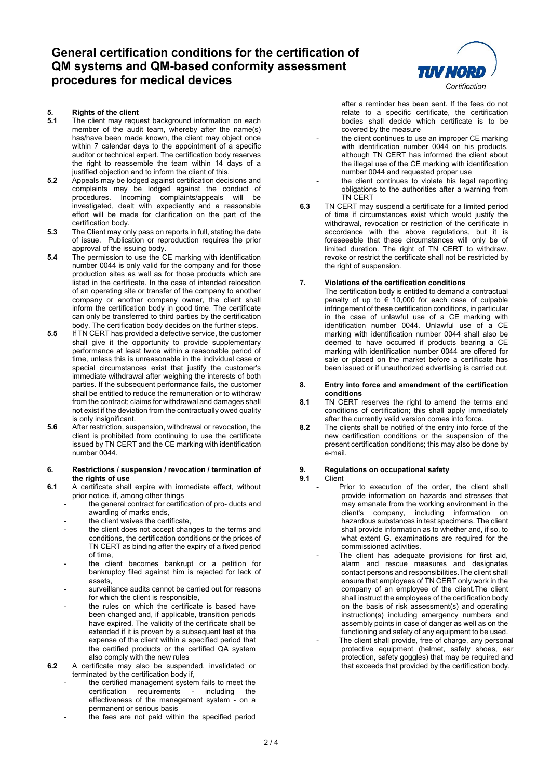

- **5.1** The client may request background information on each member of the audit team, whereby after the name(s) has/have been made known, the client may object once within 7 calendar days to the appointment of a specific auditor or technical expert. The certification body reserves the right to reassemble the team within 14 days of a justified objection and to inform the client of this.
- **5.2** Appeals may be lodged against certification decisions and complaints may be lodged against the conduct of procedures. Incoming complaints/appeals will be investigated, dealt with expediently and a reasonable effort will be made for clarification on the part of the certification body.
- **5.3** The Client may only pass on reports in full, stating the date of issue. Publication or reproduction requires the prior approval of the issuing body.
- **5.4** The permission to use the CE marking with identification number 0044 is only valid for the company and for those production sites as well as for those products which are listed in the certificate. In the case of intended relocation of an operating site or transfer of the company to another company or another company owner, the client shall inform the certification body in good time. The certificate can only be transferred to third parties by the certification body. The certification body decides on the further steps.
- **5.5** If TN CERT has provided a defective service, the customer shall give it the opportunity to provide supplementary performance at least twice within a reasonable period of time, unless this is unreasonable in the individual case or special circumstances exist that justify the customer's immediate withdrawal after weighing the interests of both parties. If the subsequent performance fails, the customer shall be entitled to reduce the remuneration or to withdraw from the contract; claims for withdrawal and damages shall not exist if the deviation from the contractually owed quality is only insignificant.
- **5.6** After restriction, suspension, withdrawal or revocation, the client is prohibited from continuing to use the certificate issued by TN CERT and the CE marking with identification number 0044.

#### **6. Restrictions / suspension / revocation / termination of the rights of use**

- **6.1** A certificate shall expire with immediate effect, without prior notice, if, among other things
	- the general contract for certification of pro- ducts and awarding of marks ends,
	- the client waives the certificate,
	- the client does not accept changes to the terms and conditions, the certification conditions or the prices of TN CERT as binding after the expiry of a fixed period of time,
	- the client becomes bankrupt or a petition for bankruptcy filed against him is rejected for lack of assets,
	- surveillance audits cannot be carried out for reasons for which the client is responsible,
	- the rules on which the certificate is based have been changed and, if applicable, transition periods have expired. The validity of the certificate shall be extended if it is proven by a subsequent test at the expense of the client within a specified period that the certified products or the certified QA system also comply with the new rules
- **6.2** A certificate may also be suspended, invalidated or terminated by the certification body if,
	- the certified management system fails to meet the<br>certification requirements including the certification requirements effectiveness of the management system - on a permanent or serious basis
	- the fees are not paid within the specified period



after a reminder has been sent. If the fees do not relate to a specific certificate, the certification bodies shall decide which certificate is to be covered by the measure

- the client continues to use an improper CE marking with identification number 0044 on his products, although TN CERT has informed the client about the illegal use of the CE marking with identification number 0044 and requested proper use
- the client continues to violate his legal reporting obligations to the authorities after a warning from TN CERT
- **6.3** TN CERT may suspend a certificate for a limited period of time if circumstances exist which would justify the withdrawal, revocation or restriction of the certificate in accordance with the above regulations, but it is foreseeable that these circumstances will only be of limited duration. The right of TN CERT to withdraw, revoke or restrict the certificate shall not be restricted by the right of suspension.

### **7. Violations of the certification conditions**

The certification body is entitled to demand a contractual penalty of up to  $\epsilon$  10,000 for each case of culpable infringement of these certification conditions, in particular in the case of unlawful use of a CE marking with identification number 0044. Unlawful use of a CE marking with identification number 0044 shall also be deemed to have occurred if products bearing a CE marking with identification number 0044 are offered for sale or placed on the market before a certificate has been issued or if unauthorized advertising is carried out.

#### **8. Entry into force and amendment of the certification conditions**

- **8.1** TN CERT reserves the right to amend the terms and conditions of certification; this shall apply immediately after the currently valid version comes into force.
- **8.2** The clients shall be notified of the entry into force of the new certification conditions or the suspension of the present certification conditions; this may also be done by e-mail.

# **9. Regulations on occupational safety**

### **9.1** Client

- Prior to execution of the order, the client shall provide information on hazards and stresses that may emanate from the working environment in the client's company, including information on hazardous substances in test specimens. The client shall provide information as to whether and, if so, to what extent G. examinations are required for the commissioned activities.
	- The client has adequate provisions for first aid, alarm and rescue measures and designates contact persons and responsibilities.The client shall ensure that employees of TN CERT only work in the company of an employee of the client.The client shall instruct the employees of the certification body on the basis of risk assessment(s) and operating instruction(s) including emergency numbers and assembly points in case of danger as well as on the functioning and safety of any equipment to be used.
		- The client shall provide, free of charge, any personal protective equipment (helmet, safety shoes, ear protection, safety goggles) that may be required and that exceeds that provided by the certification body.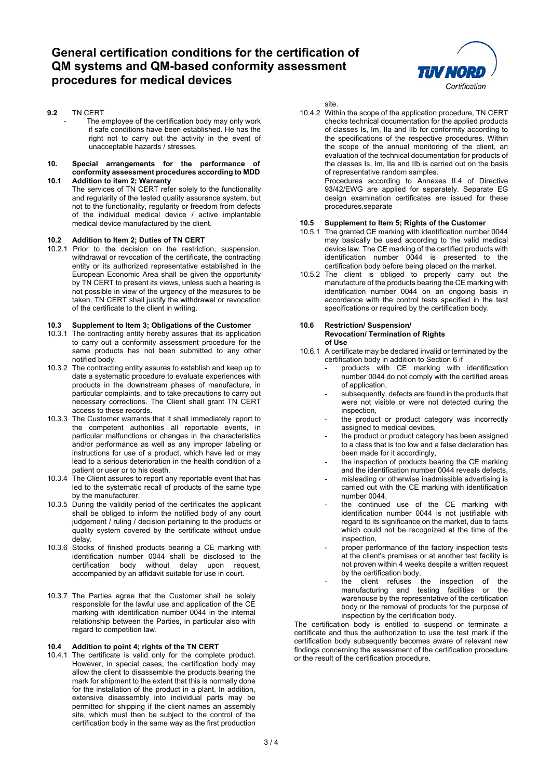

- **9.2** TN CERT
	- The employee of the certification body may only work if safe conditions have been established. He has the right not to carry out the activity in the event of unacceptable hazards / stresses.

#### **10. Special arrangements for the performance of conformity assessment procedures according to MDD 10.1 Addition to item 2; Warranty**

The services of TN CERT refer solely to the functionality and regularity of the tested quality assurance system, but not to the functionality, regularity or freedom from defects of the individual medical device / active implantable medical device manufactured by the client.

### **10.2 Addition to Item 2; Duties of TN CERT**

10.2.1 Prior to the decision on the restriction, suspension, withdrawal or revocation of the certificate, the contracting entity or its authorized representative established in the European Economic Area shall be given the opportunity by TN CERT to present its views, unless such a hearing is not possible in view of the urgency of the measures to be taken. TN CERT shall justify the withdrawal or revocation of the certificate to the client in writing.

### **10.3 Supplement to Item 3; Obligations of the Customer**

- 10.3.1 The contracting entity hereby assures that its application to carry out a conformity assessment procedure for the same products has not been submitted to any other notified body.
- 10.3.2 The contracting entity assures to establish and keep up to date a systematic procedure to evaluate experiences with products in the downstream phases of manufacture, in particular complaints, and to take precautions to carry out necessary corrections. The Client shall grant TN CERT access to these records.
- 10.3.3 The Customer warrants that it shall immediately report to the competent authorities all reportable events, in particular malfunctions or changes in the characteristics and/or performance as well as any improper labeling or instructions for use of a product, which have led or may lead to a serious deterioration in the health condition of a patient or user or to his death.
- 10.3.4 The Client assures to report any reportable event that has led to the systematic recall of products of the same type by the manufacturer.
- 10.3.5 During the validity period of the certificates the applicant shall be obliged to inform the notified body of any court judgement / ruling / decision pertaining to the products or quality system covered by the certificate without undue delay.
- 10.3.6 Stocks of finished products bearing a CE marking with identification number 0044 shall be disclosed to the certification body without delay upon request, accompanied by an affidavit suitable for use in court.
- 10.3.7 The Parties agree that the Customer shall be solely responsible for the lawful use and application of the CE marking with identification number 0044 in the internal relationship between the Parties, in particular also with regard to competition law.

### **10.4 Addition to point 4; rights of the TN CERT**

10.4.1 The certificate is valid only for the complete product. However, in special cases, the certification body may allow the client to disassemble the products bearing the mark for shipment to the extent that this is normally done for the installation of the product in a plant. In addition, extensive disassembly into individual parts may be permitted for shipping if the client names an assembly site, which must then be subject to the control of the certification body in the same way as the first production

site.

10.4.2 Within the scope of the application procedure, TN CERT checks technical documentation for the applied products of classes Is, Im, IIa and IIb for conformity according to the specifications of the respective procedures. Within the scope of the annual monitoring of the client, an evaluation of the technical documentation for products of the classes Is, Im, IIa and IIb is carried out on the basis of representative random samples. Procedures according to Annexes II.4 of Directive 93/42/EWG are applied for separately. Separate EG design examination certificates are issued for these procedures.separate

#### **10.5 Supplement to Item 5; Rights of the Customer**

- 10.5.1 The granted CE marking with identification number 0044 may basically be used according to the valid medical device law. The CE marking of the certified products with identification number 0044 is presented to the certification body before being placed on the market.
- 10.5.2 The client is obliged to properly carry out the manufacture of the products bearing the CE marking with identification number 0044 on an ongoing basis in accordance with the control tests specified in the test specifications or required by the certification body.

#### **10.6 Restriction/ Suspension/ Revocation/ Termination of Rights of Use**

- 10.6.1 A certificate may be declared invalid or terminated by the certification body in addition to Section 6 if
	- products with CE marking with identification number 0044 do not comply with the certified areas of application,
	- subsequently, defects are found in the products that were not visible or were not detected during the inspection,
	- the product or product category was incorrectly assigned to medical devices,
	- the product or product category has been assigned to a class that is too low and a false declaration has been made for it accordingly,
	- the inspection of products bearing the CE marking and the identification number 0044 reveals defects,
	- misleading or otherwise inadmissible advertising is carried out with the CE marking with identification number 0044,
	- the continued use of the CE marking with identification number 0044 is not justifiable with regard to its significance on the market, due to facts which could not be recognized at the time of the inspection,
	- proper performance of the factory inspection tests at the client's premises or at another test facility is not proven within 4 weeks despite a written request by the certification body,
	- the client refuses the inspection of the manufacturing and testing facilities or the warehouse by the representative of the certification body or the removal of products for the purpose of inspection by the certification body.

The certification body is entitled to suspend or terminate a certificate and thus the authorization to use the test mark if the certification body subsequently becomes aware of relevant new findings concerning the assessment of the certification procedure or the result of the certification procedure.